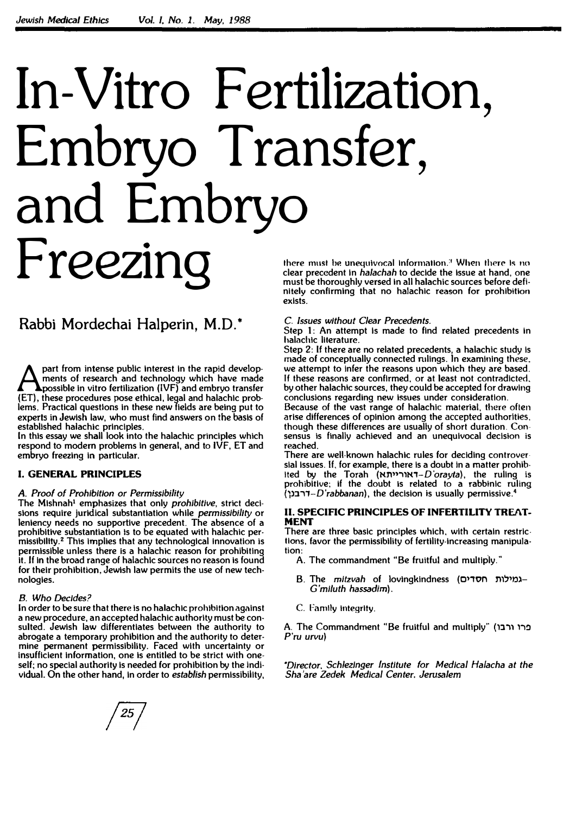# In-Vitro Fertilization, Embryo Transfer, and Embryo Freezing

# Rabbi Mordechai Halperin, M.D.\*

**A** part from intense public interest in the rapid developments of research and technology which have made possible in vitro fertilization (IVF) and embryo transfer (ET), these procedures pose ethical, legal and halachic p part from intense public interest in the rapid develop**ments of research and technology which have made Apossible in vitro fertilization (IVF) and embryo transfer** lems. Practical questions in these new fields are being put to **experts in Jewish law, who must find answers on the basis of established halachic principles.** 

In this essay we shall look into the halachic principles which **respond to modern problems In general, and to IVF, ET and embryo freezing in particular.** 

# **I. GENERAL PRINCIPLES**

# *A. Proof of Prohibition or Permissibility*

**The Mlshnah1 emphasizes that only** *prohibitive,* **strict decisions require juridical substantiation while** *permissibility* **or leniency needs no supportive precedent. The absence of a** prohibitive substantiation is to be equated with halachic per**mlsslblllty. 2 This Implies that any technologlcal Innovation Is permissible unless there Is a halachlc reason for prohibiting It. If In the broad range of halachlc sources no reason Is found for their prohibition, Jewish law permits the use of new technologies.**

# *B. Who Decides?*

**In order to be sure that there Is no halachlc prohibition against** a new procedure, an accepted halachic authority must be con**sulted. Jewish law differentiates between the authority to abrogate a temporary prohibition and the authority to determine permanent permissibility. Faced with uncertainty or Insufficient Information, one is entitled to be strict with one**self; no special authority is needed for prohibition by the indi**vidual. On the other hand, In order to** *establish* **permissibility,**

there must be unequivocal information.<sup>3</sup> When there is no **clear precedent In** *ha/achah* **to decide the Issue at hand, one must be thoroughly versed In all halachic sources before definitely confirming that no halachic reason for prohibition exists.** 

# **C.** *Issues without Clear Precedents.*

Step 1: An attempt is made to find related precedents in **halachlc literature.**

Step 2: If there are no related precedents, a halachic study is **made of conceptually connected rulings. In examining these. we attempt to Infer the reasons upon which they are based.** If **these reasons are confirmed, or at least not contradicted. by other halachlc sources, they could be accepted for drawing conclusions regarding new Issues under consideration.**

**Because of the vast range of halachic material, there often arise differences of opinion among the accepted authorities. though these differences are usually of short duration. Consensus is finally achieved and an unequivocal decision is reached.**

There are well-known halachic rules for deciding controver **sial Issues. If. for example, there is a doubt In a matter prohlb· lted by the Torah (Nrin·nNi-D'orayta), the ruling is** prohibitive; if the doubt is related to a rabbinic ruling **()l:nl-D'rabbanan), the decision is usually permissive.<sup>4</sup>**

## **II. SPECIFIC PRINCIPLES OF INFERTILITY TREAT-MENT**

**There are three basic principles which, with certain restrictions, favor the permissibility of fertility-Increasing manipulation:** 

- **A. The commandment "Be fruitful and multiply ...**
- **B. The** *mitzvah* **of lovingkindness (O'itm m,,m-***G'miluth* **hassad;m).**
- C. Family Integrity.

**A. The Commandment "Be fruitful and multiply" (1'.lil 1i!l** *P'ru urvu)*

*·Director. Schlezlnger Institute for Medical Halacha at the Sha 'are Zedek Medical Center. Jerusalem*

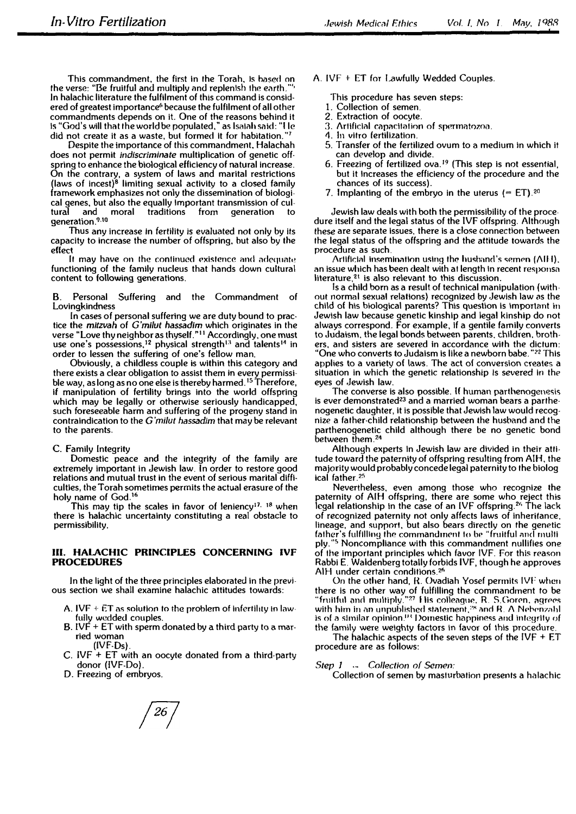This commandment, the first in the Torah, Is hased on the verse: "Be fruitful and multiply and replenish the earth," In halachic literature the fulfilment of this command is considered of greatest importance<sup>6</sup> because the fulfilment of all other commandments depends on it. One of the reasons behind it Is "God's will that the world be populated," as Isaiah said: "I le did not create it as a waste, but formed it for habitation.' **7** 

Despite the importance of this commandment. Halachah does not permit *indiscriminate* multiplication of genetic off. spring to enhance the biological efficiency of natural increase. On the contrary, a system of laws and marital restrictions (laws of incest)8 limiting sexual activity to a closed family framework emphasizes not only the dissemination of biological genes. but also the equally Important transmission of cultraditions from generation to generation.**9· 10** 

Thus any increase in fertility is evaluated not only by its capacity to increase the number of offspring. but also by the effect

It may have on the continued existence and adequate functioning of the family nucleus that hands down cultural content to following generations,

B. Personal Suffering and the Commandment of Lovingkindness

In cases of personal suffering we are duty bound to practice the *mltzvah* of *G'mllut hassadlm* which originates in the verse "Love thy neighbor as thyself."**<sup>11</sup>**Accordingly, one must use one's possessions,<sup>12</sup> physical strength<sup>13</sup> and talents<sup>14</sup> in order to lessen the suffering of one's fellow man.

Obviously, a childless couple is within this category and there exists a clear obligation to assist them **in** every permissible way, as long as no one else is thereby harmed. 15 Therefore, if manipulation of fertility brings into the world offspring which may be legally or otherwise seriously handicapped, such foreseeable harm and suffering of the progeny stand in contraindication to the *G 'milut hassadim* that may be relevant to the parents.

#### C. Family Integrity

Domestic peace and the integrity of the family are extremely important in Jewish law. In order to restore good relations and mutual trust in the event of serious marital difficulties, the Torah sometimes permits the actual erasure of the holy name of God. **<sup>16</sup>**

This may tip the scales in favor of leniency<sup>17, 18</sup> when there ls halachic uncertainty constituting a real obstacle to permissibility.

#### Ill. HALACHIC PRINCIPLES CONCERNING IVF PROCEDURES

In the light of the three principles elaborated in the previous section we shall examine halachic attitudes towards:

- A. IVF  $+$  ET as solution to the problem of infertility in lawfully wedded couples.
- B. IVF  $+$  ET with sperm donated by a third party to a married woman  $(IVF\cdot Ds)$ .
- C. IVF + ET with an oocyte donated from a third-party donor (IVF-Do).
- D. Freezing of embryos.

A. IVF  $+$  ET for Lawfully Wedded Couples.

This procedure has seven steps:

- I. Collection of semen.
- 2. Extraction of oocyte.
- 3. Artificial capacitation of spermatozoa.
- 4, In vitro fertilization.
- 5. Transfer of the fertilized ovum to a medium in which it can develop and divide.
- 6. Freezing of fertilized ova.<sup>19</sup> (This step is not essential, but it Increases the efficiency of the procedure and the chances of its success).
- 7. Implanting of the embryo in the uterus **(=** ET). **<sup>20</sup>**

Jewish law deals with both the permissibility of the procedure itself and the legal status of the IVF offspring. Although these are separate issues. there is a close connection between the legal status of the offspring and the attitude towards the procedure as such.

Artificial insemination using the husband's semen (AIH). an issue which has been dealt with at length in recent responsa literature,2**1** is also relevant to this discussion.

Is a child born as a result of technical manipulation (without normal sexual relations) recognized by Jewish law as the child of his biological parents? This question is Important in Jewish law because genetic kinship and legal kinship do not always correspond. For example, If a gentile family converts to Judaism. the legal bonds between parents. children. brothers, and sisters are severed in accordance with the dictum: "One who converts to Judaism is like a newborn babe. "**22** This applies to a variety of laws. The act of conversion creates a situation in which the genetic relationship is severed in the eyes of ,Jewish law.

The converse is also possible. If human parthenogenesis is ever demonstrated<sup>23</sup> and a married woman bears a parthenogenetic daughter, it is possible that Jewish law would recognize a father-child relationship between the husband and the parthenogenetic child although there be no genetic bond between them.**<sup>24</sup>**

Although experts in Jewish law are divided in their attitude toward the paternity of offspring resulting from AIH. the majority would probably concede legal paternity to the biolog ical father.2"

Nevertheless, even among those who recognize the paternity of AIH offspring, there are some who reject this legal relationship in the case of an IVF offspring.<sup>26</sup> The lack of recognized paternity not only affects laws of inheritance. lineage, and support, but also bears directly on the genetic father's fulfilling the commandment to be "fruitful and multiply."<sup>5</sup> Noncompliance with this commandment nullifies one of the important principles which favor IVF. For this reason Rabbi E. Waldenberg totally forbids IVF, though he approves AlH under certain conditions.<sup>26</sup>

On the other hand, R. Ovadiah Yosef permits IVF when there is no other way of fulfilling the commandment to be "fruitful and multiply."<sup>27</sup> His colleague, R. S.Goren, agrees with him in an unpublished statement, $28$  and R. A. Nebenzahl is of a similar opinion.<sup>13</sup> Domestic happiness and integrity of the family were weighty factors in favor of this procedure.

The halachic aspects of the seven steps of the  $IVF + ET$ procedure are as follows:

#### *Step 1 Collection of Semen:*

Collection of semen by masturbation presents a halachic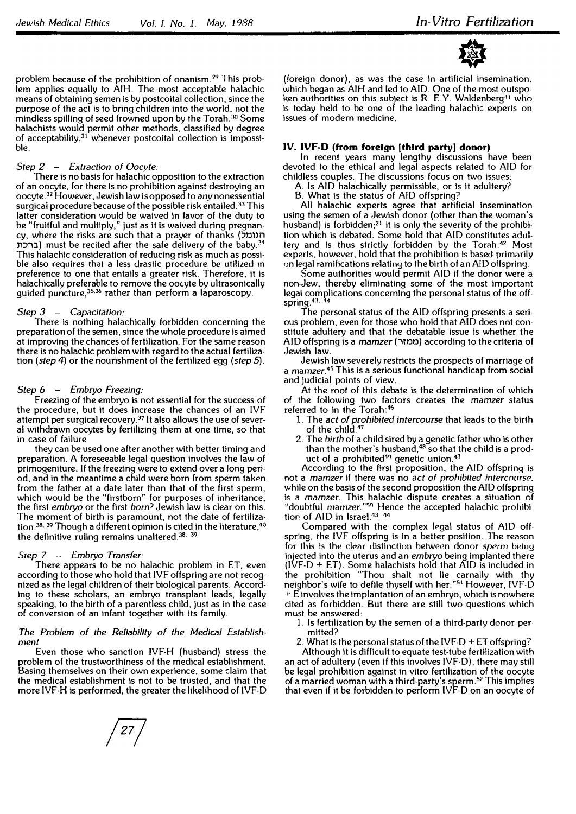

problem because of the prohibition of onanism.<sup>29</sup> This probtern applies equally to AIH. The most acceptable halachic means of obtaining semen is by postcoital collection, since the purpose of the act is to bring children into the world, not the mindless spilling of seed frowned upon by the Torah.<sup>30</sup> Some halachists would permit other methods, classified by degree of acceptability,**31** whenever postcoital collection is Impossible.

#### *Step 2* - *Extraction of Oocyte:*

There is no basis for halachic opposition to the extraction of an oocyte, for there Is no prohibition against destroying an oocyte.**32** However. Jewish law is opposed to anynonessential surgical procedure because of the possible risk entailed. **33** This latter consideration would be waived in favor of the duty to be "fruitful and multiply," just as it is waived during pregnancy, where the risks are such that a prayer of thanks (הגומל ברכת) must be recited after the safe delivery of the baby.<sup>34</sup> This halachic consideration of reducing risk as much as possible also requires that a less drastic procedure be utilized in preference to one that entails a greater risk. Therefore, it is halachically preferable to remove the oocyte by ultrasonically quided puncture,<sup>35,36</sup> rather than perform a laparoscopy.

#### *Step 3* - *Capacitation:*

There is nothing halachically forbidden concerning the preparation of the semen, since the whole procedure is aimed at improving the chances of fertilization. For the same reason there is no halachic problem with regard to the actual fertilization *(step* 4) or the nourishment of the fertilized egg *(step* 5).

#### *Step 6* - *Embryo Freezing:*

Freezing of the embryo is not essential for the success of the procedure, but it does increase the chances of an !VF attempt per surgical recovery.**37** It also allows the use of several withdrawn oocytes by fertilizing them at one time, so that in case of failure

they can be used one after another with better timing and preparation. A foreseeable legal question involves the law of primogeniture. If the freezing were to extend over a long period, and in the meantime a child were born from sperm taken from the father at a date later than that of the first sperm, which would be the "firstborn" for purposes of inheritance, the first *embryo* or the first *born?* Jewish law is clear on this. The moment of birth is paramount, not the date of fertilization. $^{38.39}$  Though a different opinion is cited in the literature, $^{40}$ the definitive ruling remains unaltered.<sup>38. 39</sup>

#### *Step* 7 - *Embryo Transfer:*

There appears to be no halachic problem in ET, even according to those who hold that !VF offspring are not recognized as the legal children of their biological parents. Accord-Ing to these scholars, an embryo transplant leads, legally speaking, to the birth of a parentless child. just as in the case of conversion of an infant together with its family.

#### *The Problem of the Reliability of the Medical Establishment*

Even those who sanction IVF-H (husband) stress the problem of the trustworthiness of the medical establishment. Basing themselves on their own experience, some claim that the medical establishment is not to be trusted, and that the more IVF-H is performed, the greater the likelihood of IVF-D (foreign donor), as was the case In artificial insemination, which began as AIH and led to AID. One of the most outspoken authorities on this subject is R. E.Y. Waldenberg**<sup>11</sup>**who is today held to be one of the leading halachic experts on issues of modern medicine.

#### **IV. IVF·D (from foreign [third party] donor)**

In recent years many lengthy discussions have been devoted to the ethical and legal aspects related to AID for childless couples. The discussions focus on two issues:

A. Is AID halachically permissible, or is it adultery?

B. What is the status of AID offspring?

All halachic experts agree that artificial insemination using the semen of a Jewish donor (other than the woman's husband) is forbidden;**21** it is only the severity of the prohibition which is debated. Some hold that AID constitutes adultery and ls thus strictly forbidden by the Tornh.**42** Most experts. however. hold that the prohibition Is based primarily on legal ramifications relating to the birth of an AID offspring.

Some authorities would permit AID if the donor were a non-Jew, thereby eliminating some of the most important legal complications concerning the personal status of the off. spring.<sup>43</sup>. **14** 

The personal status of the AID offspring presents a serious problem, even for those who hold that AID does not constitute adultery and that the debatable issue is whether the AID offspring is a *mamzer* (ממזר) according to the criteria of Jewish law.

Jewish law severely restricts the prospects of marriage of a rnamzer. **45** This is a serious functional handicap from social and judicial points of view.

At the *root* of this debate is the determination of which of the following two factors creates the *mamzer* status referred to in the Torah:**<sup>46</sup>**

- 1. The *act of prohibited intercourse* that leads to the birth of the child.<sup>47</sup>
- 2. The *birth* of a child sired by a genetic father who is other than the mother's husband,**48** so that the child is a product of a prohibited<sup>49</sup> genetic union.<sup>43</sup>

According to the **first** proposition, the AID offspring is not a *mamzer* if there was no *act of proMbited intercourse.*  while on the basis of the second proposition the AID offspring is a *mamzer.* This halachlc dispute creates a situation of "doubtful mamzer."<sup>50</sup> Hence the accepted halachic prohibi tion of AID in lsrael.**43· 44** 

Compared with the complex legal status of AID offspring, the IVF offspring is in a better position. The reason for this is the clear distinction between donor *sperm* being injected into the uterus and an *embryo* being implanted there  $(IVF-D + ET)$ . Some halachists hold that AID is included in the prohibition "Thou shalt not lie carnally with thy neighbor's wife to defile thyself with her. " **<sup>51</sup>**However, IVF-D  $+ E$  involves the implantation of an embryo, which is nowhere cited as forbidden. But there are still two questions which must be answered:

- 1. Is fertilization by the semen of a third-party donor permitted?
- 2. What is the personal status of the IVF-D + ET offspring?

Although It is difficult to equate test-tube fertilization with an act of adultery (even if this Involves IVF-D), there may still be legal prohibition against In vitro fertilization of the oocyte of a married woman with a third-party's sperm.**<sup>52</sup>**This implies that even if it be forbidden to perform IVF-D on an oocyte of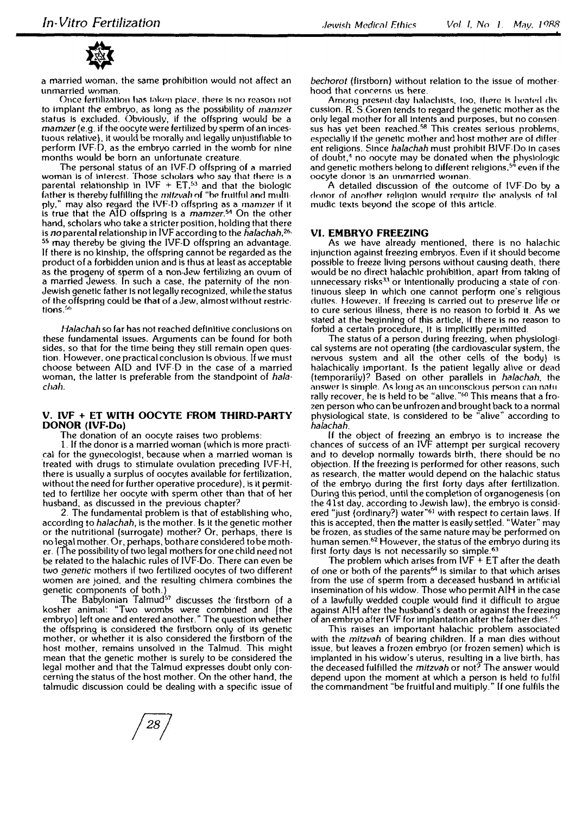

a married woman, the same prohibition would not affect an unmarried woman.

Once fertilization has taken place, there is no reason not to implant the embryo, as long as the possibility of *mamzer*  status is excluded. Obviously, if the offspring would be a *mamzer* (e.g. if the oocyte were fertilized by sperm of an incestuous relative), it would be morally and legally unjustifiable to perform IVF-D, as the embryo carried in the womb for nine months would *be* born an unfortunate creature.

The personal status of an IVF-D offspring of a married woman is of interest. Those scholars who say that there is a parental relationship in  $IVF + ET<sub>1</sub>$ <sup>53</sup> and that the biologic father is thereby fulfilling the *mitzvah* of "be fruitful and multiply," may also regard the IVF-D oHsprlng as a mamzer **If lt** Is true that the AID offspring Is a *mamzer.<sup>51</sup>*On the other hand, scholars who take a stricter position, holding that there is *no* parental relationship in !VF according to the *halachah,26-* **55** may thereby be giving the IVF-D offspring an advantage. If there is no kinship, the offspring cannot be regarded as the product of a forbidden union and is thus at least as acceptable as the progeny of sperm of a non-Jew fertilizing an ovum of a married Jewess. In such a case, the paternity of the non· Jewish genetic father Is not legally recognized, while the status **of** the offspring could be **that of** a Jew, almost without restrlctions.<sup>56</sup>

*Halachah* so far has not reached definitive conclusions on these fundamental Issues. Arguments can be found for both sides, so that for the time being they still remain open question. However. one practical conclusion is obvious. If we must choose between AID and IVF-D in the case of a married woman, the latter ls preferable from the standpoint of *hala*chah.

#### **V. IVF** + **ET WITH OOCYTE FROM THIRD-PARTY DONOR (IVF-Do)**

The donation of an oocyte raises two problems:

L If the donor is a married woman (which is more practical for the gynecologist, because when a married woman Is 'treated with drugs to stimulate ovulation preceding IVF-H, there is usually a surplus of oocytes available for fertilization, without the need for further operative procedure), is it permitted to fertilize her oocyte with sperm other than that of her husband, as discussed in the previous chapter?

2. The fundamental problem is that of establishing who, according to *halachah,* is the mother. Is it the genetic mother or the nutritional (surrogate) mother? Or, perhaps, there is no legal mother. Or, perhaps, both are considered to be mother. (The possibility of two legal mothers for one child need not be related to the halachic rules of IVF-Do. There can even be two genetic mothers if two fertilized oocytes of two different women are joined, and the resulting chimera combines the genetic components of both.)

The Babylonian Talmud**57** discusses the firstborn of a kosher animal: "Two wombs were combined and [the embryo] left one and entered another." The question whether the offspring is considered the firstborn only of its genetic mother, or whether it is also considered the firstborn of the host mother, remains unsolved in the Talmud. This might mean that the genetic mother is surely to be considered the legal mother and that the Talmud expresses doubt only concerning the status of the host mother. On the other hand, the talmudic discussion could be dealing with a specific issue of

*bechorot* (firstborn) without relation to the issue of motherhood that concerns us here.

Among present-day halachists, too, there is heated discusslon. R. S.Goren tends to regard the genetic mother as the only legal mother for all Intents and purposes, but no consen sus has yet been reached.<sup>58</sup> This creates serious problems, especially if the genetic mother and host mother are of different religions. Since *ha/achah* must prohibit BIVF-Do In cases of doubt,� no oocyte may be donated when the physiologic and genetic mothers belong to different rellgions,<sup>5</sup> **<sup>q</sup>**even if the oocyte donor is an unmarried woman.

A detailed discussion of the outcome of !VF-Do by a donor of another religion would require the analysis of tal mudlc texts beyond the scope of this article.

#### **VI. EMBRYO FREEZING**

As we have already mentioned, there is no halachic injunction against freezing embryos. Even if it should become possible to freeze living persons without causing death, there would be no direct halachic prohibition, apart from taking of unnecessary risks $33$  or intentionally producing a state of continuous sleep In which one cannot perform one's religious dutl€'s. However. If freezing **Is** carried out to preserve life **or** to cure serious illness, there Is no reason to forbid It. As we stated at the beginning of this article, if there is no reason to forbid a certain procedure, It is lmplicltly permitted.

The status of a person during freezing, when physiological systems are not operating (the cardiovascular system, the nervous system and all the other cells of the body} is halachically important. Is the patient legally alive or dead (temporarily)? Based on other parallels in *halachah,* the answer Is simple. As long as an unconscious person can naturally recover, he is held to be "alive."<sup>60</sup> This means that a frozen person who can be unfrozen and brought back to a normal physiological state, is considered to be "alive" according to *ha/achah.* 

If the object of freezing an embryo is to increase the chances of success of an IVF attempt per surgical recovery and to develop normally towards birth, there should be no objection. If the freezing is performed for other reasons, such as research, the matter would depend on the halachic status of the embryo during the first forty days after fertilization. During this period, until the completion of organogenesis (on the 41st day, according to Jewish law), the embryo is considered "just {ordinary?} water"<sup>61</sup> with respect to certain laws. If this is accepted, then the matter is easily settled. "Water" may be frozen, as studies of the same nature may be performed on human semen.<sup>62</sup> However, the status of the embryo during its first forty days is not necessarily so simple.<sup>63</sup>

The problem which arises from  $IVF + ET$  after the death of one or both of the parents<sup>64</sup> is similar to that which arises from the use of sperm from a deceased husband in artificial insemination of his widow. Those who permit AIH in the case of a lawfully wedded couple would find it difficult to argue against AIH after the husband's death or against the freezing of an embryo after IVF for implantation after the father dies.<sup>6</sup>

This raises an important halachic problem associated with the *mitzvah* of bearing children. If a man dies without issue, but leaves a frozen embryo (or frozen semen) which is implanted in his widow's uterus, resulting in a live birth. has the deceased fulfilled the *mitzvah* or not? The answer would depend upon the moment at which a person is held to fulfil the commandment "be fruitful and multiply." If one fulfils the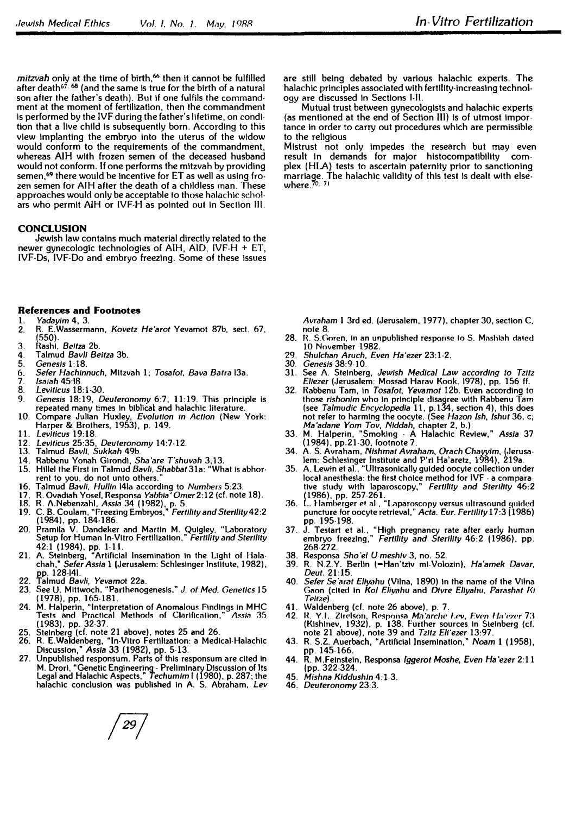*mitzvah* only at the time of birth,<sup>66</sup> then it cannot be fulfilled after death $67.68$  (and the same is true for the birth of a natural son after the father's death). But if one fulfils the command· ment at the moment of fertilization, then the commandment is performed by the IVF during the father's lifetime, on condition that a live child is subsequently born. According to this view implanting the embryo into the uterus of the widow would conform to the requirements of the commandment, whereas AIH with frozen semen of the deceased husband would not conform. If one performs the mitzvah by providing semen, **69** there would be Incentive for ET as well as using frozen semen for AJH after the death of a childless man. These approaches would only be acceptable to those halachic scholars who permit AIH or IVF·H as pointed out In Section Ill.

# **CONCLUSION**

Jewish law contains much material directly related to the newer gynecologic technologies of AIH, AID, IVF-H + ET, IVF-Ds, IVF-Do and embryo freezing. Some of these Issues

## **References and Footnotes**

- **1.** *Yadaylm* **4, 3.**
- **2.** R. **E.Wassermann,** *Kovetz He'arot* **Yevamot 87b, sect. 67, (550).**
- 3. **Rashi,** *Beltza* **2b.**
- **4. Talmud** *Bavli Beitza* **3b.**
- 5. *Genesis* I: **18. 6.** *Sefer Hachlnnuch,* **Mitzvah 1;** *Tosafot, Bava* **Batra 13a.**
- **7.** *Isaiah* **45:18**
- 8. *Leviticus* 18:1-30.
- 9. *Genesis* **18:19,** *Deuteronomy* **6:7, 11:19. This principle is repeated many times In biblical and halachic literature.**
- 10. **Compare Jullan Huxley,** *Evolution In Action* **(New York: Harper & Brothers, 1953), p. 149.**
- **11.** *Leviticus* **19: 18.**
- **12.** *Leviticus* **25:35,** *Deuteronomy* **14:7-12.**
- **13. Talmud** *Bav/1, Sukkah* **49b.**
- **14. Rabbenu Yonah Glrondl, Sha'are** *T'shuvah* **3;13.**
- **15. Hillel the First in Talmud** *Bavli, Shabbat* **31a: "What is abhorrent to you, do not unto others."**
- **16. Talmud** *Bavli, Hul/Jn* **141a according to** *Numbers* **5:23.**
- **17.** R. **Ovadiah Yosef, Responsa Yabbla' Omer2:12** (cf. **note 18).**
- 18. **R. /\.Nebenzahl,** *Ass/a* **34 (1982), p.** 5.
- **19. C. B. Coulam, "Freezing Embryos,"** *Fertillty and5ter/llty42:2* **(1984), pp. 184·186.**
- **20. Pramlla V. Dandeker and Martin M. Quigley, "Laboratory Setup for Human In-Vitro Fertilization,"** *Fertility and Sterility* **42:1 (1984), pp. 1.11.**
- 21. A. Steinberg, "Artificial Insemination in the Light of Hala-<br>chah," Sefer Assia 1 (Jerusalem: Schlesinger Institute, 1982), **chah,"** *Sefer Ass/a* **1 (Jerusalem: Schlesinger Institute, 1982), pp. 128-141.**
- **22. Talmud** *Bavli, Yevamot* **22a.**
- **23. See U. Mlttwoch, "Parthenogenesis."** *J. of Med. Genetics* **15 (1978), pp. 165·181.**
- **24. M. Halperin, "Interpretation of Anomalous Findings In MHC** Tests and Practical Methods of Clarification," *Assia* 35 **(1983), pp. 32-37. 25. Steinberg** (cf. **note 21 above), notes 25 and 26.**
- 
- **26. R. E.Waldenberg, "In-Vitro Fertlllzatlon: a Medlcal-Halachic Discussion," Assia 33 {1982), pp. 5-13.**
- **27. Unpublished responsum. Parts of this responsum are cited in M. Drorl, "Genetic Engineering - Preliminary Discussion of Jts Legal and Halachic Aspects,�** *Techumlm* **I (1980), p. 287; the halachlc conclusion was published In A. S. Abraham,** *Lev*

are still being debated by various halachic experts. The halachic principles associated with fertility-increasing technology are discussed In Sections 1-11.

Mutual trust between gynecologists and halachic experts (as mentioned at the end of Section Ill) Is of utmost lmpor· tance in order to carry out procedures which are permissible to the religious

Mistrust not only Impedes the research but may even result in demands for major histocompatibility complex (HLA) tests to ascertain paternity prior to sanctioning marriage. The halachic validity of this test is dealt with elsewhere\_ **10. <sup>71</sup>**

*Avraham* **I 3rd ed. (Jerusalem, 1977). chapter 30, section C, note 8.** 

- **28. R. S.Goren, In an unpublished response lo** S. **M.ishlah rlaled IO November 1982.**
- 29. *Shulchan Aruch, Even Ha'ezer* **23:1-2.**
- 30. *Genesis* **38:9-10.**
- **31. See** A. **Steinberg,** *Jewish* **Medical** *Law according to Tzitz Eliezer* **(Jerusalem: Mossad Harav Kook. 1978), pp. 156 ff.**
- 32. **Rabbenu Tam, In** *Tosafot, Yevamot* 12b. **Even according to those** *rlshonlm* **who In principle disagree with Rabbenu** Tam **(see** *Talmudic Encyclopedia* **11, p.134, section 4), this does not refer to harming the oocyte. (See** *Hazon /sh, !shut* **36, c;** *Ma'adane Yom Tov, Nlddah,* **chapter 2, b.)**
- **33. M. Halperin, "Smoking A Halachic Review,"** *Ass/a* **37 (1984), pp.21-30, footnote 7.**
- **34.** A. **S. Avraham,** *Nlshmat* **Avraham,** *Orach Chawlm,* **(Jerusa· lem: Schlesinger Institute and P'rl Ha'aretz, 1984), 219a.**
- 35. **A. Lewin** et **al., "Ultrasonically guided oocyte collection under** local anesthesia: the first choice method for IVF - a compara**tive study with laparoscopy/** *Fertility and Sterl/Jty* **46:2 (1986), pp. 257-261.**
- **36. L. 1-liimlw.rger ef al., "l.ilparoscopy versus ultrasound guided** puncture for oocyte retrieval," Acta. Eur. Fertility 17:3 (1986) **pp. 195-198.**
- **37. J. Teslart et al., "High pregnancy rate after early human embryo freezing,"** *Fertility and Sterility* **46:2 (1986), pp. 268-272.**
- **38. Responsa** *Sho'ef U-meshlv* **3, no. 52.**
- **39.** R. **N.Z.Y. Berlin (-Han'tzlv mi.Volozin),** *Ha'amek* **Davar,** *Deut.* **21:15.**
- **40.** *Sefer* **Se'arat** *Eliyahu* **(Vilna, 1890) In the name of the Vilna G<1on (cited In** *Kol Eli\_vahu* **and** *Dtvre Eliya/111, Parashat l(i Teltze).*
- **41. Waldenberg** (cf. **note 26 above), p. 7.**
- **12.** R. Y.L. Zirelson, Responsa *Ma'arche Lev, Even Ha'ezer* 73 **(Kishinev, 1932), p. 138. Further sources In Steinberg** (cf. **note 21 above), note 39 and** *Tzltz El/'ezer* **13:97.**
- **43. R. S.Z. Auerbach, "Artificial Insemination," Noam 1 ( 1958). pp. 145-166.**
- **44.** R. **M.Felnsteln, Responsa** *Jggerot Moshe, Even* Ha *'ezer* **2: 11 (pp. 322-324.**
- **45.** *Mishna Kiddushln* **4: 1.3.**
- **46.** *Deuteronomy* **23:3.**